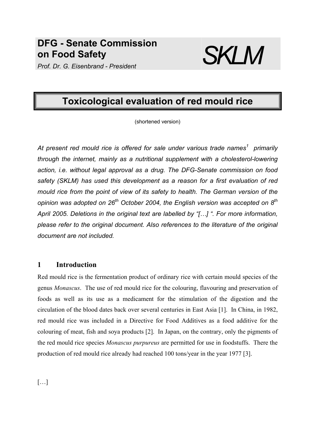## **DFG - Senate Commission on Food Safety ON Food Safety**<br>*Prof. Dr. G. Eisenbrand - President* SKLM



# **Toxicological evaluation of red mould rice**

(shortened version)

*At present red mould rice is offered for sale under various trade names<sup>1</sup> primarily through the internet, mainly as a nutritional supplement with a cholesterol-lowering action, i.e. without legal approval as a drug. The DFG-Senate commission on food safety (SKLM) has used this development as a reason for a first evaluation of red mould rice from the point of view of its safety to health. The German version of the opinion was adopted on 26th October 2004, the English version was accepted on 8th April 2005. Deletions in the original text are labelled by "[…] ". For more information, please refer to the original document. Also references to the literature of the original document are not included.* 

## **1 Introduction**

Red mould rice is the fermentation product of ordinary rice with certain mould species of the genus *Monascus*. The use of red mould rice for the colouring, flavouring and preservation of foods as well as its use as a medicament for the stimulation of the digestion and the circulation of the blood dates back over several centuries in East Asia [1]. In China, in 1982, red mould rice was included in a Directive for Food Additives as a food additive for the colouring of meat, fish and soya products [2]. In Japan, on the contrary, only the pigments of the red mould rice species *Monascus purpureus* are permitted for use in foodstuffs. There the production of red mould rice already had reached 100 tons/year in the year 1977 [3].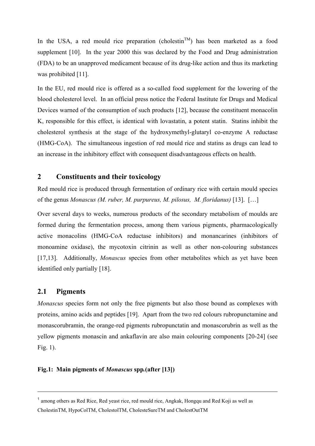In the USA, a red mould rice preparation (cholestin<sup>TM</sup>) has been marketed as a food supplement [10]. In the year 2000 this was declared by the Food and Drug administration (FDA) to be an unapproved medicament because of its drug-like action and thus its marketing was prohibited [11].

In the EU, red mould rice is offered as a so-called food supplement for the lowering of the blood cholesterol level. In an official press notice the Federal Institute for Drugs and Medical Devices warned of the consumption of such products [12], because the constituent monacolin K, responsible for this effect, is identical with lovastatin, a potent statin. Statins inhibit the cholesterol synthesis at the stage of the hydroxymethyl-glutaryl co-enzyme A reductase (HMG-CoA). The simultaneous ingestion of red mould rice and statins as drugs can lead to an increase in the inhibitory effect with consequent disadvantageous effects on health.

## **2 Constituents and their toxicology**

Red mould rice is produced through fermentation of ordinary rice with certain mould species of the genus *Monascus (M. ruber, M. purpureus, M. pilosus, M. floridanus)* [13]. […]

Over several days to weeks, numerous products of the secondary metabolism of moulds are formed during the fermentation process, among them various pigments, pharmacologically active monacolins (HMG-CoA reductase inhibitors) and monancarines (inhibitors of monoamine oxidase), the mycotoxin citrinin as well as other non-colouring substances [17,13]. Additionally, *Monascus* species from other metabolites which as yet have been identified only partially [18].

## **2.1 Pigments**

1

*Monascus* species form not only the free pigments but also those bound as complexes with proteins, amino acids and peptides [19]. Apart from the two red colours rubropunctamine and monascorubramin, the orange-red pigments rubropunctatin and monascorubrin as well as the yellow pigments monascin and ankaflavin are also main colouring components [20-24] (see Fig. 1).

### **Fig.1: Main pigments of** *Monascus* **spp***.***(after [13])**

<sup>&</sup>lt;sup>1</sup> among others as Red Rice, Red yeast rice, red mould rice, Angkak, Hongqu and Red Koji as well as CholestinTM, HypoColTM, CholestolTM, CholesteSureTM and CholestOutTM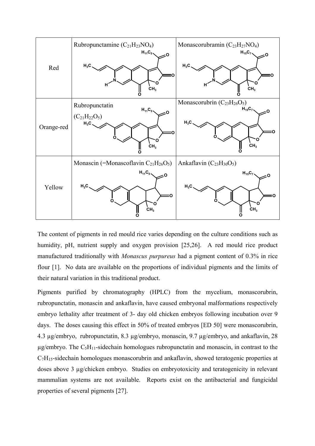

The content of pigments in red mould rice varies depending on the culture conditions such as humidity, pH, nutrient supply and oxygen provision [25,26]. A red mould rice product manufactured traditionally with *Monascus purpureus* had a pigment content of 0.3% in rice flour [1]. No data are available on the proportions of individual pigments and the limits of their natural variation in this traditional product.

Pigments purified by chromatography (HPLC) from the mycelium, monascorubrin, rubropunctatin, monascin and ankaflavin, have caused embryonal malformations respectively embryo lethality after treatment of 3- day old chicken embryos following incubation over 9 days. The doses causing this effect in 50% of treated embryos [ED 50] were monascorubrin, 4.3 µg/embryo, rubropunctatin, 8.3 µg/embryo, monascin, 9.7 µg/embryo, and ankaflavin, 28  $\mu$ g/embryo. The C<sub>5</sub>H<sub>11</sub>-sidechain homologues rubropunctatin and monascin, in contrast to the  $C_7H_{15}$ -sidechain homologues monascorubrin and ankaflavin, showed teratogenic properties at doses above 3 µg/chicken embryo. Studies on embryotoxicity and teratogenicity in relevant mammalian systems are not available. Reports exist on the antibacterial and fungicidal properties of several pigments [27].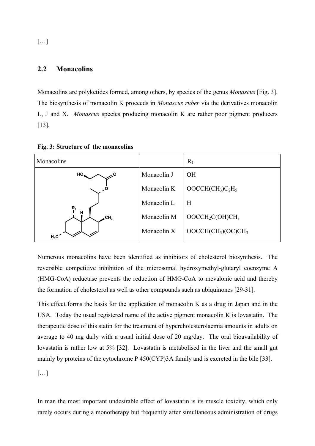[…]

## **2.2 Monacolins**

Monacolins are polyketides formed, among others, by species of the genus *Monascus* [Fig. 3]. The biosynthesis of monacolin K proceeds in *Monascus ruber* via the derivatives monacolin L, J and X. *Monascus* species producing monacolin K are rather poor pigment producers [13].

| Monacolins      |             | $R_1$                                   |
|-----------------|-------------|-----------------------------------------|
| HO <sub>n</sub> | Monacolin J | <b>OH</b>                               |
|                 | Monacolin K | $OOCCH(CH3)C2H5$                        |
| $\mathsf{R}_1$  | Monacolin L | H                                       |
| н<br><b>CH3</b> | Monacolin M | OOCCH <sub>2</sub> C(OH)CH <sub>3</sub> |
| $H_3C$          | Monacolin X | $OOCCH(CH_3)(OC)CH_3$                   |

**Fig. 3: Structure of the monacolins**

Numerous monacolins have been identified as inhibitors of cholesterol biosynthesis. The reversible competitive inhibition of the microsomal hydroxymethyl-glutaryl coenzyme A (HMG-CoA) reductase prevents the reduction of HMG-CoA to mevalonic acid and thereby the formation of cholesterol as well as other compounds such as ubiquinones [29-31].

This effect forms the basis for the application of monacolin K as a drug in Japan and in the USA. Today the usual registered name of the active pigment monacolin K is lovastatin. The therapeutic dose of this statin for the treatment of hypercholesterolaemia amounts in adults on average to 40 mg daily with a usual initial dose of 20 mg/day. The oral bioavailability of lovastatin is rather low at 5% [32]. Lovastatin is metabolised in the liver and the small gut mainly by proteins of the cytochrome P 450(CYP)3A family and is excreted in the bile [33].

 $\left[\ldots\right]$ 

In man the most important undesirable effect of lovastatin is its muscle toxicity, which only rarely occurs during a monotherapy but frequently after simultaneous administration of drugs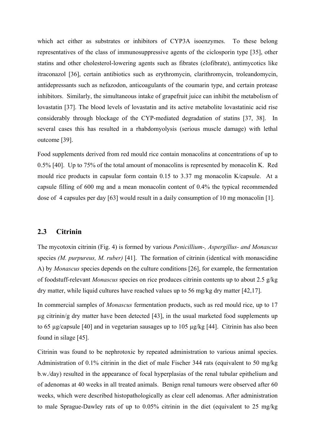which act either as substrates or inhibitors of CYP3A isoenzymes. To these belong representatives of the class of immunosuppressive agents of the ciclosporin type [35], other statins and other cholesterol-lowering agents such as fibrates (clofibrate), antimycotics like itraconazol [36], certain antibiotics such as erythromycin, clarithromycin, troleandomycin, antidepressants such as nefazodon, anticoagulants of the coumarin type, and certain protease inhibitors. Similarly, the simultaneous intake of grapefruit juice can inhibit the metabolism of lovastatin [37]. The blood levels of lovastatin and its active metabolite lovastatinic acid rise considerably through blockage of the CYP-mediated degradation of statins [37, 38]. In several cases this has resulted in a rhabdomyolysis (serious muscle damage) with lethal outcome [39].

Food supplements derived from red mould rice contain monacolins at concentrations of up to 0.5% [40]. Up to 75% of the total amount of monacolins is represented by monacolin K. Red mould rice products in capsular form contain 0.15 to 3.37 mg monacolin K/capsule. At a capsule filling of 600 mg and a mean monacolin content of 0.4% the typical recommended dose of 4 capsules per day [63] would result in a daily consumption of 10 mg monacolin [1].

## **2.3 Citrinin**

The mycotoxin citrinin (Fig. 4) is formed by various *Penicillium-, Aspergillus- and Monascus*  species *(M. purpureus, M. ruber)* [41]. The formation of citrinin (identical with monascidine A) by *Monascus* species depends on the culture conditions [26], for example, the fermentation of foodstuff-relevant *Monascus* species on rice produces citrinin contents up to about 2.5 g/kg dry matter, while liquid cultures have reached values up to 56 mg/kg dry matter [42,17].

In commercial samples of *Monascus* fermentation products, such as red mould rice, up to 17 µg citrinin/g dry matter have been detected [43], in the usual marketed food supplements up to 65 µg/capsule [40] and in vegetarian sausages up to 105 µg/kg [44]. Citrinin has also been found in silage [45].

Citrinin was found to be nephrotoxic by repeated administration to various animal species. Administration of 0.1% citrinin in the diet of male Fischer 344 rats (equivalent to 50 mg/kg b.w./day) resulted in the appearance of focal hyperplasias of the renal tubular epithelium and of adenomas at 40 weeks in all treated animals. Benign renal tumours were observed after 60 weeks, which were described histopathologically as clear cell adenomas. After administration to male Sprague-Dawley rats of up to 0.05% citrinin in the diet (equivalent to 25 mg/kg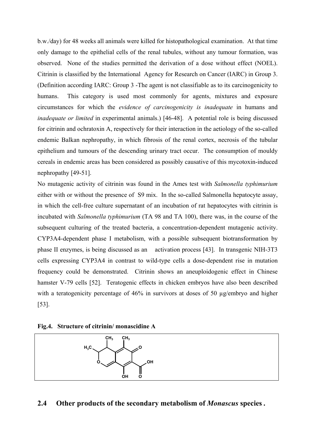b.w./day) for 48 weeks all animals were killed for histopathological examination. At that time only damage to the epithelial cells of the renal tubules, without any tumour formation, was observed. None of the studies permitted the derivation of a dose without effect (NOEL). Citrinin is classified by the International Agency for Research on Cancer (IARC) in Group 3. (Definition according IARC: Group 3 -The agent is not classifiable as to its carcinogenicity to humans. This category is used most commonly for agents, mixtures and exposure circumstances for which the *evidence of carcinogenicity is inadequate* in humans and *inadequate or limited* in experimental animals.) [46-48]. A potential role is being discussed for citrinin and ochratoxin A, respectively for their interaction in the aetiology of the so-called endemic Balkan nephropathy, in which fibrosis of the renal cortex, necrosis of the tubular epithelium and tumours of the descending urinary tract occur. The consumption of mouldy cereals in endemic areas has been considered as possibly causative of this mycotoxin-induced nephropathy [49-51].

No mutagenic activity of citrinin was found in the Ames test with *Salmonella typhimurium*  either with or without the presence of S9 mix. In the so-called Salmonella hepatocyte assay, in which the cell-free culture supernatant of an incubation of rat hepatocytes with citrinin is incubated with *Salmonella typhimurium* (TA 98 and TA 100), there was, in the course of the subsequent culturing of the treated bacteria, a concentration-dependent mutagenic activity. CYP3A4-dependent phase I metabolism, with a possible subsequent biotransformation by phase II enzymes, is being discussed as an activation process [43]. In transgenic NIH-3T3 cells expressing CYP3A4 in contrast to wild-type cells a dose-dependent rise in mutation frequency could be demonstrated. Citrinin shows an aneuploidogenic effect in Chinese hamster V-79 cells [52]. Teratogenic effects in chicken embryos have also been described with a teratogenicity percentage of 46% in survivors at doses of 50  $\mu$ g/embryo and higher [53].

**Fig.4. Structure of citrinin/ monascidine A** 



## **2.4 Other products of the secondary metabolism of** *Monascus* **species** *.*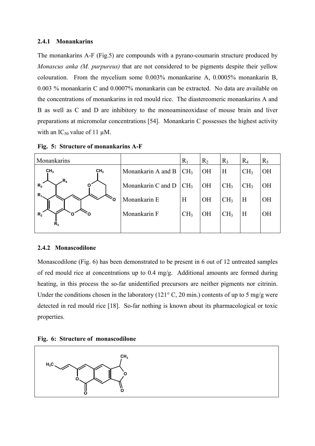#### **2.4.1 Monankarins**

The monankarins A-F (Fig.5) are compounds with a pyrano-coumarin structure produced by *Monascus anka (M. purpureus)* that are not considered to be pigments despite their yellow colouration. From the mycelium some 0.003% monankarine A, 0.0005% monankarin B, 0.003 % monankarin C and 0.0007% monankarin can be extracted. No data are available on the concentrations of monankarins in red mould rice. The diastereomeric monankarins A and B as well as C and D are inhibitory to the monoamineoxidase of mouse brain and liver preparations at micromolar concentrations [54]. Monankarin C possesses the highest activity with an  $IC_{50}$  value of 11  $\mu$ M.

| Monankarins                        |                    | $R_1$           | $R_2$     | $R_3$           | $\rm R_4$       | $R_5$     |
|------------------------------------|--------------------|-----------------|-----------|-----------------|-----------------|-----------|
| CH <sub>3</sub><br>CH <sub>3</sub> | Monankarin A and B | CH <sub>3</sub> | <b>OH</b> | H               | CH <sub>3</sub> | <b>OH</b> |
| .R,<br>$R_{5}$                     | Monankarin C and D | CH <sub>3</sub> | <b>OH</b> | CH <sub>3</sub> | CH <sub>3</sub> | <b>OH</b> |
| $R_{1}$                            | Monankarin E       | H               | <b>OH</b> | CH <sub>3</sub> | Η               | <b>OH</b> |
| $R_{2}$                            | Monankarin F       | CH <sub>3</sub> | <b>OH</b> | CH <sub>3</sub> | H               | <b>OH</b> |
| R <sub>3</sub>                     |                    |                 |           |                 |                 |           |

**Fig. 5: Structure of monankarins A-F** 

#### **2.4.2 Monascodilone**

Monascodilone (Fig. 6) has been demonstrated to be present in 6 out of 12 untreated samples of red mould rice at concentrations up to 0.4 mg/g. Additional amounts are formed during heating, in this process the so-far unidentified precursors are neither pigments nor citrinin. Under the conditions chosen in the laboratory ( $121^\circ$  C,  $20$  min.) contents of up to 5 mg/g were detected in red mould rice [18]. So-far nothing is known about its pharmacological or toxic properties.



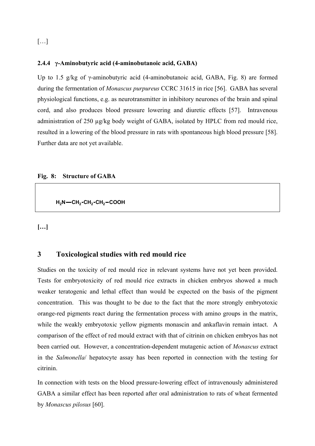## $\left[\ldots\right]$

#### **2.4.4 γ-Aminobutyric acid (4-aminobutanoic acid, GABA)**

Up to 1.5 g/kg of γ-aminobutyric acid (4-aminobutanoic acid, GABA, Fig. 8) are formed during the fermentation of *Monascus purpureus* CCRC 31615 in rice [56]. GABA has several physiological functions, e.g. as neurotransmitter in inhibitory neurones of the brain and spinal cord, and also produces blood pressure lowering and diuretic effects [57]. Intravenous administration of 250 µg/kg body weight of GABA, isolated by HPLC from red mould rice, resulted in a lowering of the blood pressure in rats with spontaneous high blood pressure [58]. Further data are not yet available.

#### **Fig. 8: Structure of GABA**

**H2N CH2 CH2 CH2 COOH**

**[…]** 

## **3 Toxicological studies with red mould rice**

Studies on the toxicity of red mould rice in relevant systems have not yet been provided. Tests for embryotoxicity of red mould rice extracts in chicken embryos showed a much weaker teratogenic and lethal effect than would be expected on the basis of the pigment concentration. This was thought to be due to the fact that the more strongly embryotoxic orange-red pigments react during the fermentation process with amino groups in the matrix, while the weakly embryotoxic yellow pigments monascin and ankaflavin remain intact. A comparison of the effect of red mould extract with that of citrinin on chicken embryos has not been carried out. However, a concentration-dependent mutagenic action of *Monascus* extract in the *Salmonella*/ hepatocyte assay has been reported in connection with the testing for citrinin.

In connection with tests on the blood pressure-lowering effect of intravenously administered GABA a similar effect has been reported after oral administration to rats of wheat fermented by *Monascus pilosus* [60].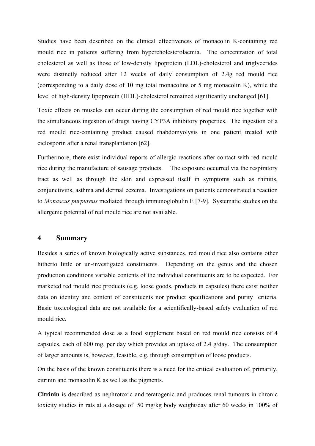Studies have been described on the clinical effectiveness of monacolin K-containing red mould rice in patients suffering from hypercholesterolaemia. The concentration of total cholesterol as well as those of low-density lipoprotein (LDL)-cholesterol and triglycerides were distinctly reduced after 12 weeks of daily consumption of 2.4g red mould rice (corresponding to a daily dose of 10 mg total monacolins or 5 mg monacolin K), while the level of high-density lipoprotein (HDL)-cholesterol remained significantly unchanged [61].

Toxic effects on muscles can occur during the consumption of red mould rice together with the simultaneous ingestion of drugs having CYP3A inhibitory properties. The ingestion of a red mould rice-containing product caused rhabdomyolysis in one patient treated with ciclosporin after a renal transplantation [62].

Furthermore, there exist individual reports of allergic reactions after contact with red mould rice during the manufacture of sausage products. The exposure occurred via the respiratory tract as well as through the skin and expressed itself in symptoms such as rhinitis, conjunctivitis, asthma and dermal eczema. Investigations on patients demonstrated a reaction to *Monascus purpureus* mediated through immunoglobulin E [7-9]. Systematic studies on the allergenic potential of red mould rice are not available.

## **4 Summary**

Besides a series of known biologically active substances, red mould rice also contains other hitherto little or un-investigated constituents. Depending on the genus and the chosen production conditions variable contents of the individual constituents are to be expected. For marketed red mould rice products (e.g. loose goods, products in capsules) there exist neither data on identity and content of constituents nor product specifications and purity criteria. Basic toxicological data are not available for a scientifically-based safety evaluation of red mould rice.

A typical recommended dose as a food supplement based on red mould rice consists of 4 capsules, each of 600 mg, per day which provides an uptake of 2.4 g/day. The consumption of larger amounts is, however, feasible, e.g. through consumption of loose products.

On the basis of the known constituents there is a need for the critical evaluation of, primarily, citrinin and monacolin K as well as the pigments.

**Citrinin** is described as nephrotoxic and teratogenic and produces renal tumours in chronic toxicity studies in rats at a dosage of 50 mg/kg body weight/day after 60 weeks in 100% of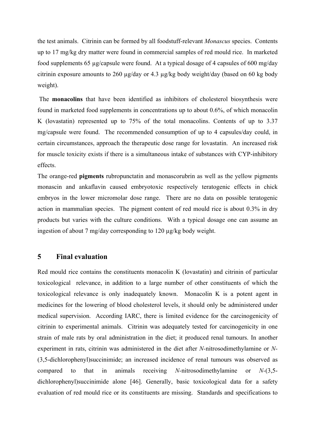the test animals. Citrinin can be formed by all foodstuff-relevant *Monascus* species. Contents up to 17 mg/kg dry matter were found in commercial samples of red mould rice. In marketed food supplements 65 µg/capsule were found. At a typical dosage of 4 capsules of 600 mg/day citrinin exposure amounts to 260 µg/day or 4.3 µg/kg body weight/day (based on 60 kg body weight).

 The **monacolins** that have been identified as inhibitors of cholesterol biosynthesis were found in marketed food supplements in concentrations up to about 0.6%, of which monacolin K (lovastatin) represented up to 75% of the total monacolins. Contents of up to 3.37 mg/capsule were found. The recommended consumption of up to 4 capsules/day could, in certain circumstances, approach the therapeutic dose range for lovastatin. An increased risk for muscle toxicity exists if there is a simultaneous intake of substances with CYP-inhibitory effects.

The orange-red **pigments** rubropunctatin and monascorubrin as well as the yellow pigments monascin and ankaflavin caused embryotoxic respectively teratogenic effects in chick embryos in the lower micromolar dose range. There are no data on possible teratogenic action in mammalian species. The pigment content of red mould rice is about 0.3% in dry products but varies with the culture conditions. With a typical dosage one can assume an ingestion of about 7 mg/day corresponding to 120 µg/kg body weight.

## **5 Final evaluation**

Red mould rice contains the constituents monacolin K (lovastatin) and citrinin of particular toxicological relevance, in addition to a large number of other constituents of which the toxicological relevance is only inadequately known. Monacolin K is a potent agent in medicines for the lowering of blood cholesterol levels, it should only be administered under medical supervision. According IARC, there is limited evidence for the carcinogenicity of citrinin to experimental animals. Citrinin was adequately tested for carcinogenicity in one strain of male rats by oral administration in the diet; it produced renal tumours. In another experiment in rats, citrinin was administered in the diet after *N-*nitrosodimethylamine or *N-* (3,5-dichlorophenyl)succinimide; an increased incidence of renal tumours was observed as compared to that in animals receiving *N-*nitrosodimethylamine or *N-*(3,5 dichlorophenyl)succinimide alone [46]. Generally, basic toxicological data for a safety evaluation of red mould rice or its constituents are missing. Standards and specifications to